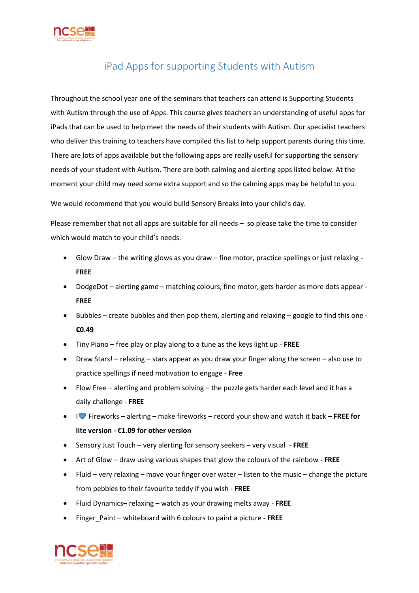

## iPad Apps for supporting Students with Autism

Throughout the school year one of the seminars that teachers can attend is Supporting Students with Autism through the use of Apps. This course gives teachers an understanding of useful apps for iPads that can be used to help meet the needs of their students with Autism. Our specialist teachers who deliver this training to teachers have compiled this list to help support parents during this time. There are lots of apps available but the following apps are really useful for supporting the sensory needs of your student with Autism. There are both calming and alerting apps listed below. At the moment your child may need some extra support and so the calming apps may be helpful to you.

We would recommend that you would build Sensory Breaks into your child's day.

Please remember that not all apps are suitable for all needs – so please take the time to consider which would match to your child's needs.

- Glow Draw the writing glows as you draw fine motor, practice spellings or just relaxing **FREE**
- DodgeDot alerting game matching colours, fine motor, gets harder as more dots appear **FREE**
- Bubbles create bubbles and then pop them, alerting and relaxing google to find this one **€0.49**
- Tiny Piano free play or play along to a tune as the keys light up **FREE**
- Draw Stars! relaxing stars appear as you draw your finger along the screen also use to practice spellings if need motivation to engage - **Free**
- Flow Free alerting and problem solving the puzzle gets harder each level and it has a daily challenge - **FREE**
- I Fireworks alerting make fireworks record your show and watch it back **FREE for lite version - €1.09 for other version**
- Sensory Just Touch very alerting for sensory seekers very visual **FREE**
- Art of Glow draw using various shapes that glow the colours of the rainbow **FREE**
- Fluid very relaxing move your finger over water listen to the music change the picture from pebbles to their favourite teddy if you wish - **FREE**
- Fluid Dynamics– relaxing watch as your drawing melts away **FREE**
- Finger\_Paint whiteboard with 6 colours to paint a picture **FREE**